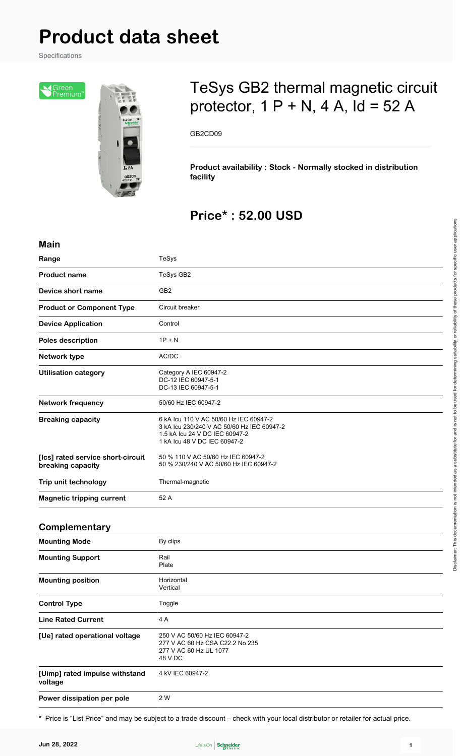# **Product data sheet**

Specifications

|Green<br>|Premium



## TeSys GB2 thermal magnetic circuit protector,  $1 P + N$ ,  $4 A$ ,  $Id = 52 A$

GB2CD09

**Product availability : Stock - Normally stocked in distribution facility**

## **Price\* : 52.00 USD**

| <b>Main</b>                                            |                                                                                                                                                        |
|--------------------------------------------------------|--------------------------------------------------------------------------------------------------------------------------------------------------------|
| Range                                                  | TeSys                                                                                                                                                  |
| <b>Product name</b>                                    | TeSys GB2                                                                                                                                              |
| Device short name                                      | GB <sub>2</sub>                                                                                                                                        |
| <b>Product or Component Type</b>                       | Circuit breaker                                                                                                                                        |
| <b>Device Application</b>                              | Control                                                                                                                                                |
| Poles description                                      | $1P + N$                                                                                                                                               |
| Network type                                           | AC/DC                                                                                                                                                  |
| <b>Utilisation category</b>                            | Category A IEC 60947-2<br>DC-12 IEC 60947-5-1<br>DC-13 IEC 60947-5-1                                                                                   |
| <b>Network frequency</b>                               | 50/60 Hz IEC 60947-2                                                                                                                                   |
| <b>Breaking capacity</b>                               | 6 kA Icu 110 V AC 50/60 Hz IEC 60947-2<br>3 kA Icu 230/240 V AC 50/60 Hz IEC 60947-2<br>1.5 kA Icu 24 V DC IEC 60947-2<br>1 kA Icu 48 V DC IEC 60947-2 |
| [Ics] rated service short-circuit<br>breaking capacity | 50 % 110 V AC 50/60 Hz IEC 60947-2<br>50 % 230/240 V AC 50/60 Hz IEC 60947-2                                                                           |
| Trip unit technology                                   | Thermal-magnetic                                                                                                                                       |
| <b>Magnetic tripping current</b>                       | 52 A                                                                                                                                                   |
|                                                        |                                                                                                                                                        |
| Complementary                                          |                                                                                                                                                        |

#### **Complementary**

| <b>Mounting Mode</b>                      | By clips                                                                                              |
|-------------------------------------------|-------------------------------------------------------------------------------------------------------|
| <b>Mounting Support</b>                   | Rail<br>Plate                                                                                         |
| <b>Mounting position</b>                  | Horizontal<br>Vertical                                                                                |
| <b>Control Type</b>                       | Toggle                                                                                                |
| <b>Line Rated Current</b>                 | 4 A                                                                                                   |
| [Ue] rated operational voltage            | 250 V AC 50/60 Hz IEC 60947-2<br>277 V AC 60 Hz CSA C22.2 No 235<br>277 V AC 60 Hz UL 1077<br>48 V DC |
| [Uimp] rated impulse withstand<br>voltage | 4 kV IEC 60947-2                                                                                      |
| Power dissipation per pole                | 2 W                                                                                                   |

\* Price is "List Price" and may be subject to a trade discount – check with your local distributor or retailer for actual price.

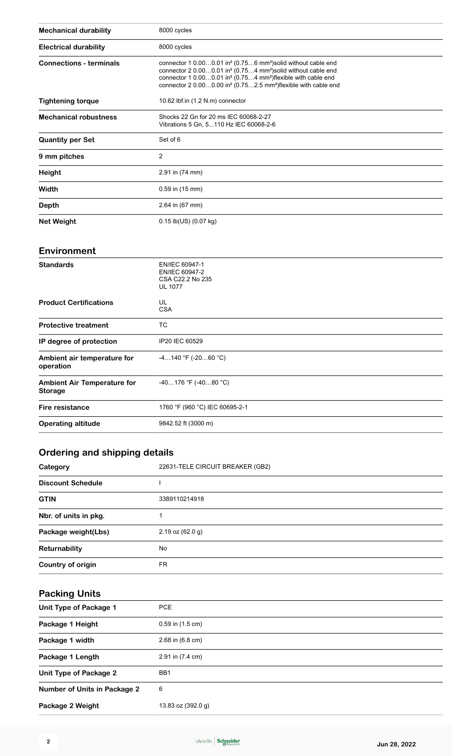| <b>Mechanical durability</b>   | 8000 cycles                                                                                                                                                                                                                                                                                                                                                          |
|--------------------------------|----------------------------------------------------------------------------------------------------------------------------------------------------------------------------------------------------------------------------------------------------------------------------------------------------------------------------------------------------------------------|
| <b>Electrical durability</b>   | 8000 cycles                                                                                                                                                                                                                                                                                                                                                          |
| <b>Connections - terminals</b> | connector 1 $0.000.01$ in <sup>2</sup> (0.756 mm <sup>2</sup> ) solid without cable end<br>connector 2 0.000.01 in <sup>2</sup> (0.754 mm <sup>2</sup> ) solid without cable end<br>connector 1 0.000.01 in <sup>2</sup> (0.754 mm <sup>2</sup> ) flexible with cable end<br>connector 2 0.000.00 in <sup>2</sup> (0.752.5 mm <sup>2</sup> ) flexible with cable end |
| <b>Tightening torque</b>       | 10.62 lbf.in (1.2 N.m) connector                                                                                                                                                                                                                                                                                                                                     |
| <b>Mechanical robustness</b>   | Shocks 22 Gn for 20 ms IEC 60068-2-27<br>Vibrations 5 Gn, 5110 Hz IEC 60068-2-6                                                                                                                                                                                                                                                                                      |
| <b>Quantity per Set</b>        | Set of 6                                                                                                                                                                                                                                                                                                                                                             |
| 9 mm pitches                   | 2                                                                                                                                                                                                                                                                                                                                                                    |
| <b>Height</b>                  | 2.91 in (74 mm)                                                                                                                                                                                                                                                                                                                                                      |
| Width                          | 0.59 in (15 mm)                                                                                                                                                                                                                                                                                                                                                      |
| Depth                          | 2.64 in (67 mm)                                                                                                                                                                                                                                                                                                                                                      |
| <b>Net Weight</b>              | $0.15$ lb(US) $(0.07$ kg)                                                                                                                                                                                                                                                                                                                                            |

#### **Environment**

| <b>Standards</b>                                     | EN/IEC 60947-1<br>EN/IEC 60947-2<br>CSA C22.2 No 235<br><b>UL 1077</b> |
|------------------------------------------------------|------------------------------------------------------------------------|
| <b>Product Certifications</b>                        | UL<br><b>CSA</b>                                                       |
| <b>Protective treatment</b>                          | TC                                                                     |
| IP degree of protection                              | IP20 IEC 60529                                                         |
| Ambient air temperature for<br>operation             | $-4140$ °F ( $-2060$ °C)                                               |
| <b>Ambient Air Temperature for</b><br><b>Storage</b> | $-40176$ °F ( $-4080$ °C)                                              |
| Fire resistance                                      | 1760 °F (960 °C) IEC 60695-2-1                                         |
| <b>Operating altitude</b>                            | 9842.52 ft (3000 m)                                                    |
|                                                      |                                                                        |

### **Ordering and shipping details**

| Category                 | 22631-TELE CIRCUIT BREAKER (GB2) |
|--------------------------|----------------------------------|
| <b>Discount Schedule</b> |                                  |
| <b>GTIN</b>              | 3389110214918                    |
| Nbr. of units in pkg.    |                                  |
| Package weight(Lbs)      | $2.19$ oz $(62.0 g)$             |
| Returnability            | No                               |
| Country of origin        | FR                               |

## **Packing Units**

| Unit Type of Package 1              | <b>PCE</b>           |
|-------------------------------------|----------------------|
| Package 1 Height                    | $0.59$ in $(1.5$ cm) |
| Package 1 width                     | 2.68 in (6.8 cm)     |
| Package 1 Length                    | 2.91 in (7.4 cm)     |
| Unit Type of Package 2              | BB <sub>1</sub>      |
| <b>Number of Units in Package 2</b> | 6                    |
| Package 2 Weight                    | 13.83 oz (392.0 g)   |